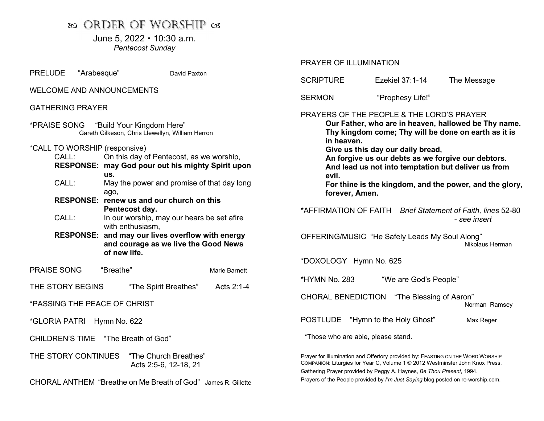# $\infty$  ORDER OF WORSHIP os

June 5,  $2022 \cdot 10:30$  a.m. Pentecost Sunday

PRELUDE "Arabesque" David Paxton

#### WELCOME AND ANNOUNCEMENTS

## GATHERING PRAYER

|                                                                    |                                                          | *PRAISE SONG "Build Your Kingdom Here"<br>Gareth Gilkeson, Chris Llewellyn, William Herron                                   |               |  |
|--------------------------------------------------------------------|----------------------------------------------------------|------------------------------------------------------------------------------------------------------------------------------|---------------|--|
| CALL:                                                              | *CALL TO WORSHIP (responsive)<br><b>RESPONSE:</b><br>US. | On this day of Pentecost, as we worship,<br>may God pour out his mighty Spirit upon                                          |               |  |
| CALL:                                                              | ago,                                                     | May the power and promise of that day long                                                                                   |               |  |
| <b>RESPONSE: renew us and our church on this</b><br>Pentecost day. |                                                          |                                                                                                                              |               |  |
| CALL:                                                              |                                                          | In our worship, may our hears be set afire                                                                                   |               |  |
|                                                                    |                                                          | with enthusiasm,<br>RESPONSE: and may our lives overflow with energy<br>and courage as we live the Good News<br>of new life. |               |  |
| <b>PRAISE SONG</b>                                                 | "Breathe"                                                |                                                                                                                              | Marie Barnett |  |
| THE STORY BEGINS                                                   |                                                          | "The Spirit Breathes"                                                                                                        | Acts $2:1-4$  |  |
| *PASSING THE PEACE OF CHRIST                                       |                                                          |                                                                                                                              |               |  |
| *GLORIA PATRI Hymn No. 622                                         |                                                          |                                                                                                                              |               |  |
| CHILDREN'S TIME "The Breath of God"                                |                                                          |                                                                                                                              |               |  |
|                                                                    | THE STORY CONTINUES                                      | "The Church Breathes"<br>Acts 2:5-6, 12-18, 21                                                                               |               |  |
| CHORAL ANTHEM "Breathe on Me Breath of God" James R. Gillette      |                                                          |                                                                                                                              |               |  |

## PRAYER OF ILLUMINATION

| <b>SCRIPTURE</b>                                                                                                                                                                                                                                                                                                                                                                                                | Ezekiel 37:1-14          | The Message |  |  |  |
|-----------------------------------------------------------------------------------------------------------------------------------------------------------------------------------------------------------------------------------------------------------------------------------------------------------------------------------------------------------------------------------------------------------------|--------------------------|-------------|--|--|--|
| SERMON                                                                                                                                                                                                                                                                                                                                                                                                          | "Prophesy Life!"         |             |  |  |  |
| PRAYERS OF THE PEOPLE & THE LORD'S PRAYER<br>Our Father, who are in heaven, hallowed be Thy name.<br>Thy kingdom come; Thy will be done on earth as it is<br>in heaven.<br>Give us this day our daily bread,<br>An forgive us our debts as we forgive our debtors.<br>And lead us not into temptation but deliver us from<br>evil.<br>For thine is the kingdom, and the power, and the glory,<br>forever, Amen. |                          |             |  |  |  |
| *AFFIRMATION OF FAITH Brief Statement of Faith, lines 52-80<br>- see insert                                                                                                                                                                                                                                                                                                                                     |                          |             |  |  |  |
| OFFERING/MUSIC "He Safely Leads My Soul Along"<br>Nikolaus Herman                                                                                                                                                                                                                                                                                                                                               |                          |             |  |  |  |
| *DOXOLOGY Hymn No. 625                                                                                                                                                                                                                                                                                                                                                                                          |                          |             |  |  |  |
| *HYMN No. 283<br>"We are God's People"                                                                                                                                                                                                                                                                                                                                                                          |                          |             |  |  |  |
| <b>CHORAL BENEDICTION</b><br>"The Blessing of Aaron"<br>Norman Ramsey                                                                                                                                                                                                                                                                                                                                           |                          |             |  |  |  |
| <b>POSTLUDE</b>                                                                                                                                                                                                                                                                                                                                                                                                 | "Hymn to the Holy Ghost" | Max Reger   |  |  |  |
| *Those who are able, please stand.                                                                                                                                                                                                                                                                                                                                                                              |                          |             |  |  |  |
| Prayer for Illumination and Offertory provided by: FEASTING ON THE WORD WORSHIP<br>COMPANION: Liturgies for Year C, Volume 1 © 2012 Westminster John Knox Press.<br>Gathering Prayer provided by Peggy A. Haynes, Be Thou Present, 1994.                                                                                                                                                                        |                          |             |  |  |  |

Prayers of the People provided by I'm Just Saying blog posted on re-worship.com.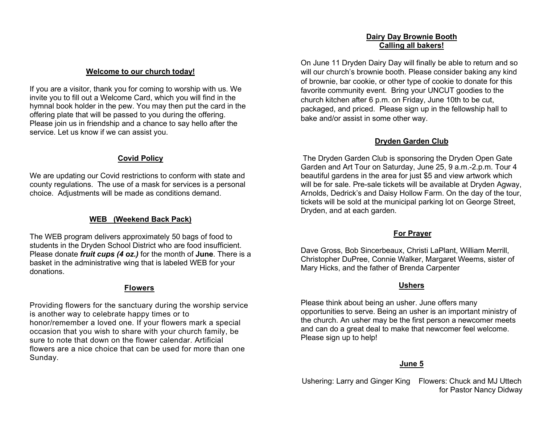#### Dairy Day Brownie Booth Calling all bakers!

#### Welcome to our church today!

If you are a visitor, thank you for coming to worship with us. We invite you to fill out a Welcome Card, which you will find in the hymnal book holder in the pew. You may then put the card in the offering plate that will be passed to you during the offering. Please join us in friendship and a chance to say hello after the service. Let us know if we can assist you.

## Covid Policy

We are updating our Covid restrictions to conform with state and county regulations. The use of a mask for services is a personal choice. Adjustments will be made as conditions demand.

# WEB (Weekend Back Pack)

The WEB program delivers approximately 50 bags of food to students in the Dryden School District who are food insufficient. Please donate *fruit cups (4 oz.)* for the month of June. There is a basket in the administrative wing that is labeled WEB for your donations.

## Flowers

Providing flowers for the sanctuary during the worship service is another way to celebrate happy times or to honor/remember a loved one. If your flowers mark a special occasion that you wish to share with your church family, be sure to note that down on the flower calendar. Artificial flowers are a nice choice that can be used for more than one Sunday.

On June 11 Dryden Dairy Day will finally be able to return and so will our church's brownie booth. Please consider baking any kind of brownie, bar cookie, or other type of cookie to donate for this favorite community event. Bring your UNCUT goodies to the church kitchen after 6 p.m. on Friday, June 10th to be cut, packaged, and priced. Please sign up in the fellowship hall to bake and/or assist in some other way.

## Dryden Garden Club

The Dryden Garden Club is sponsoring the Dryden Open Gate Garden and Art Tour on Saturday, June 25, 9 a.m.-2.p.m. Tour 4 beautiful gardens in the area for just \$5 and view artwork which will be for sale. Pre-sale tickets will be available at Dryden Agway, Arnolds, Dedrick's and Daisy Hollow Farm. On the day of the tour, tickets will be sold at the municipal parking lot on George Street, Dryden, and at each garden.

# For Prayer

Dave Gross, Bob Sincerbeaux, Christi LaPlant, William Merrill, Christopher DuPree, Connie Walker, Margaret Weems, sister of Mary Hicks, and the father of Brenda Carpenter

## **Ushers**

Please think about being an usher. June offers many opportunities to serve. Being an usher is an important ministry of the church. An usher may be the first person a newcomer meets and can do a great deal to make that newcomer feel welcome. Please sign up to help!

# June 5

Ushering: Larry and Ginger King Flowers: Chuck and MJ Uttech for Pastor Nancy Didway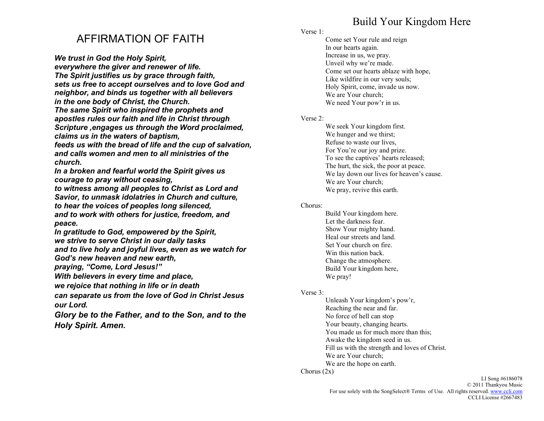# Build Your Kingdom Here

# AFFIRMATION OF FAITH

We trust in God the Holy Spirit,

everywhere the giver and renewer of life. The Spirit justifies us by grace through faith, sets us free to accept ourselves and to love God and neighbor, and binds us together with all believers in the one body of Christ, the Church.

The same Spirit who inspired the prophets and apostles rules our faith and life in Christ through Scripture ,engages us through the Word proclaimed, claims us in the waters of baptism,

feeds us with the bread of life and the cup of salvation, and calls women and men to all ministries of the church.

In a broken and fearful world the Spirit gives us courage to pray without ceasing,

to witness among all peoples to Christ as Lord and Savior, to unmask idolatries in Church and culture, to hear the voices of peoples long silenced, and to work with others for justice, freedom, and peace.

In gratitude to God, empowered by the Spirit, we strive to serve Christ in our daily tasks and to live holy and joyful lives, even as we watch for God's new heaven and new earth,

praying, "Come, Lord Jesus!"

With believers in every time and place,

we rejoice that nothing in life or in death

can separate us from the love of God in Christ Jesus our Lord.

Glory be to the Father, and to the Son, and to the Holy Spirit. Amen.

## Verse 1:

Come set Your rule and reign In our hearts again. Increase in us, we pray. Unveil why we're made. Come set our hearts ablaze with hope, Like wildfire in our very souls; Holy Spirit, come, invade us now. We are Your church; We need Your pow'r in us.

### Verse 2:

We seek Your kingdom first. We hunger and we thirst; Refuse to waste our lives, For You're our joy and prize. To see the captives' hearts released; The hurt, the sick, the poor at peace. We lay down our lives for heaven's cause. We are Your church; We pray, revive this earth.

#### Chorus:

Build Your kingdom here. Let the darkness fear. Show Your mighty hand. Heal our streets and land. Set Your church on fire. Win this nation back. Change the atmosphere. Build Your kingdom here, We pray!

#### Verse 3:

Unleash Your kingdom's pow'r, Reaching the near and far. No force of hell can stop Your beauty, changing hearts. You made us for much more than this; Awake the kingdom seed in us. Fill us with the strength and loves of Christ. We are Your church; We are the hope on earth.

#### Chorus (2x)

LI Song #6186078 © 2011 Thankyou Music For use solely with the SongSelect® Terms of Use. All rights reserved. www.ccli.com CCLI License #2667483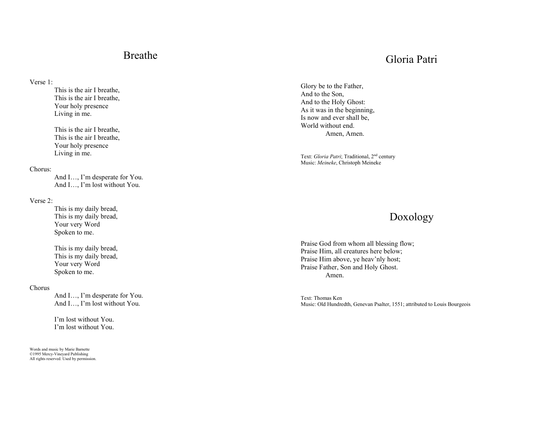# Breathe

# Gloria Patri

Verse 1:

This is the air I breathe, This is the air I breathe, Your holy presence Living in me.

This is the air I breathe, This is the air I breathe, Your holy presence Living in me.

#### Chorus:

And I…, I'm desperate for You. And I…, I'm lost without You.

#### Verse 2:

This is my daily bread, This is my daily bread, Your very Word Spoken to me.

This is my daily bread, This is my daily bread, Your very Word Spoken to me.

#### Chorus

And I…, I'm desperate for You. And I…, I'm lost without You.

I'm lost without You. I'm lost without You.

Words and music by Marie Barnette ©1995 Mercy-Vineyard Publishing All rights reserved. Used by permission.

Glory be to the Father, And to the Son, And to the Holy Ghost: As it was in the beginning, Is now and ever shall be, World without end. Amen, Amen.

Text: Gloria Patri; Traditional, 2<sup>nd</sup> century Music: Meineke, Christoph Meineke

# Doxology

Praise God from whom all blessing flow; Praise Him, all creatures here below; Praise Him above, ye heav'nly host; Praise Father, Son and Holy Ghost. Amen.

Text: Thomas Ken Music: Old Hundredth, Genevan Psalter, 1551; attributed to Louis Bourgeois